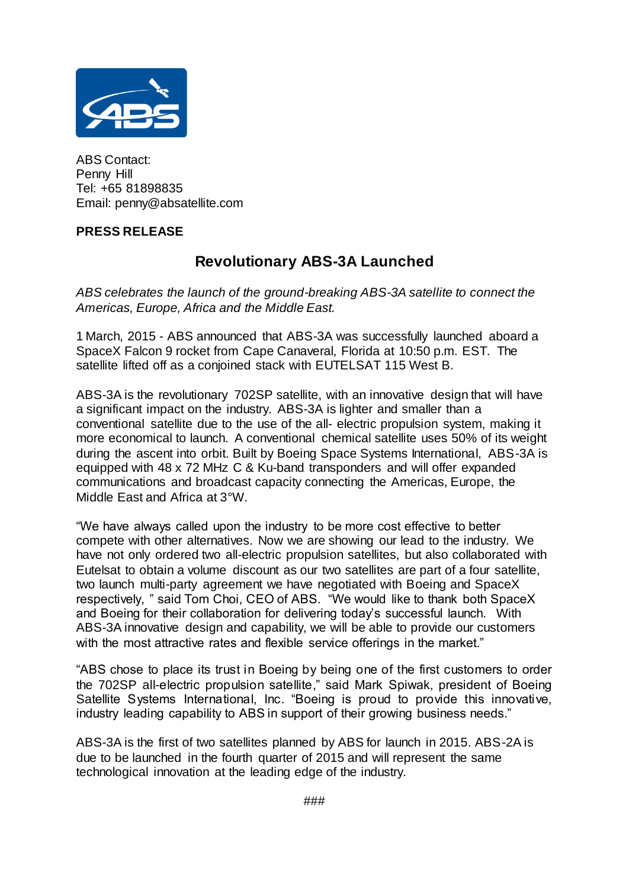

ABS Contact: Penny Hill Tel: +65 81898835 Email: penny@absatellite.com

## **PRESS RELEASE**

## **Revolutionary ABS-3A Launched**

*ABS celebrates the launch of the ground-breaking ABS-3A satellite to connect the Americas, Europe, Africa and the Middle East.*

1 March, 2015 - ABS announced that ABS-3A was successfully launched aboard a SpaceX Falcon 9 rocket from Cape Canaveral, Florida at 10:50 p.m. EST. The satellite lifted off as a conjoined stack with EUTELSAT 115 West B.

ABS-3A is the revolutionary 702SP satellite, with an innovative design that will have a significant impact on the industry. ABS-3A is lighter and smaller than a conventional satellite due to the use of the all- electric propulsion system, making it more economical to launch. A conventional chemical satellite uses 50% of its weight during the ascent into orbit. Built by Boeing Space Systems International, ABS-3A is equipped with 48 x 72 MHz C & Ku-band transponders and will offer expanded communications and broadcast capacity connecting the Americas, Europe, the Middle East and Africa at 3°W.

"We have always called upon the industry to be more cost effective to better compete with other alternatives. Now we are showing our lead to the industry. We have not only ordered two all-electric propulsion satellites, but also collaborated with Eutelsat to obtain a volume discount as our two satellites are part of a four satellite, two launch multi-party agreement we have negotiated with Boeing and SpaceX respectively, " said Tom Choi, CEO of ABS. "We would like to thank both SpaceX and Boeing for their collaboration for delivering today's successful launch. With ABS-3A innovative design and capability, we will be able to provide our customers with the most attractive rates and flexible service offerings in the market."

"ABS chose to place its trust in Boeing by being one of the first customers to order the 702SP all-electric propulsion satellite," said Mark Spiwak, president of Boeing Satellite Systems International, Inc. "Boeing is proud to provide this innovative, industry leading capability to ABS in support of their growing business needs."

ABS-3A is the first of two satellites planned by ABS for launch in 2015. ABS-2A is due to be launched in the fourth quarter of 2015 and will represent the same technological innovation at the leading edge of the industry.